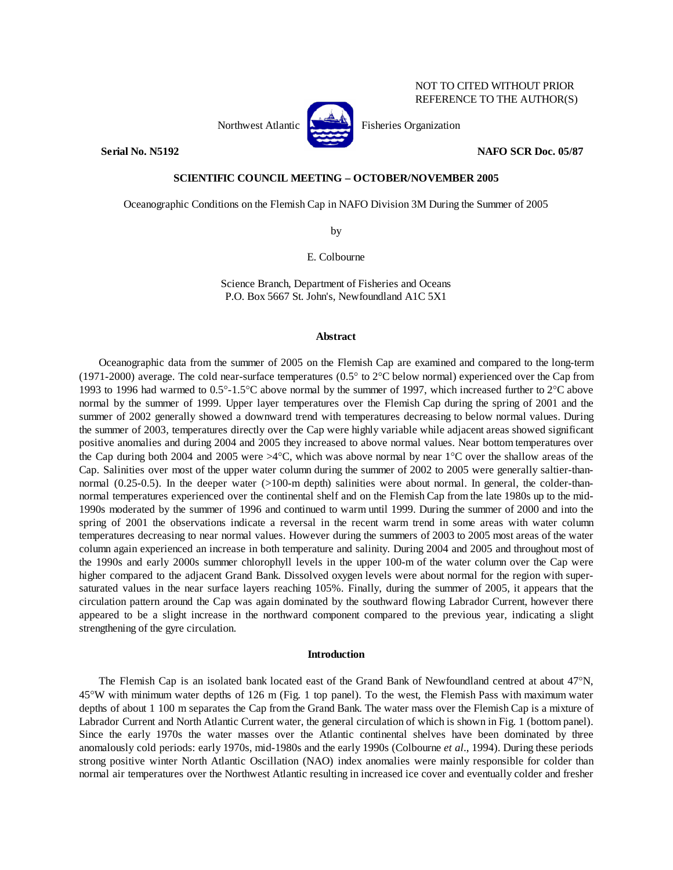

**Serial No. N5192 NAFO SCR Doc. 05/87** 

# **SCIENTIFIC COUNCIL MEETING – OCTOBER/NOVEMBER 2005**

Oceanographic Conditions on the Flemish Cap in NAFO Division 3M During the Summer of 2005

by

E. Colbourne

Science Branch, Department of Fisheries and Oceans P.O. Box 5667 St. John's, Newfoundland A1C 5X1

## **Abstract**

 Oceanographic data from the summer of 2005 on the Flemish Cap are examined and compared to the long-term (1971-2000) average. The cold near-surface temperatures (0.5° to 2°C below normal) experienced over the Cap from 1993 to 1996 had warmed to 0.5°-1.5°C above normal by the summer of 1997, which increased further to 2°C above normal by the summer of 1999. Upper layer temperatures over the Flemish Cap during the spring of 2001 and the summer of 2002 generally showed a downward trend with temperatures decreasing to below normal values. During the summer of 2003, temperatures directly over the Cap were highly variable while adjacent areas showed significant positive anomalies and during 2004 and 2005 they increased to above normal values. Near bottom temperatures over the Cap during both 2004 and 2005 were  $>4^{\circ}$ C, which was above normal by near 1<sup>o</sup>C over the shallow areas of the Cap. Salinities over most of the upper water column during the summer of 2002 to 2005 were generally saltier-thannormal (0.25-0.5). In the deeper water (>100-m depth) salinities were about normal. In general, the colder-thannormal temperatures experienced over the continental shelf and on the Flemish Cap from the late 1980s up to the mid-1990s moderated by the summer of 1996 and continued to warm until 1999. During the summer of 2000 and into the spring of 2001 the observations indicate a reversal in the recent warm trend in some areas with water column temperatures decreasing to near normal values. However during the summers of 2003 to 2005 most areas of the water column again experienced an increase in both temperature and salinity. During 2004 and 2005 and throughout most of the 1990s and early 2000s summer chlorophyll levels in the upper 100-m of the water column over the Cap were higher compared to the adjacent Grand Bank. Dissolved oxygen levels were about normal for the region with supersaturated values in the near surface layers reaching 105%. Finally, during the summer of 2005, it appears that the circulation pattern around the Cap was again dominated by the southward flowing Labrador Current, however there appeared to be a slight increase in the northward component compared to the previous year, indicating a slight strengthening of the gyre circulation.

### **Introduction**

 The Flemish Cap is an isolated bank located east of the Grand Bank of Newfoundland centred at about 47°N, 45°W with minimum water depths of 126 m (Fig. 1 top panel). To the west, the Flemish Pass with maximum water depths of about 1 100 m separates the Cap from the Grand Bank. The water mass over the Flemish Cap is a mixture of Labrador Current and North Atlantic Current water, the general circulation of which is shown in Fig. 1 (bottom panel). Since the early 1970s the water masses over the Atlantic continental shelves have been dominated by three anomalously cold periods: early 1970s, mid-1980s and the early 1990s (Colbourne *et al*., 1994). During these periods strong positive winter North Atlantic Oscillation (NAO) index anomalies were mainly responsible for colder than normal air temperatures over the Northwest Atlantic resulting in increased ice cover and eventually colder and fresher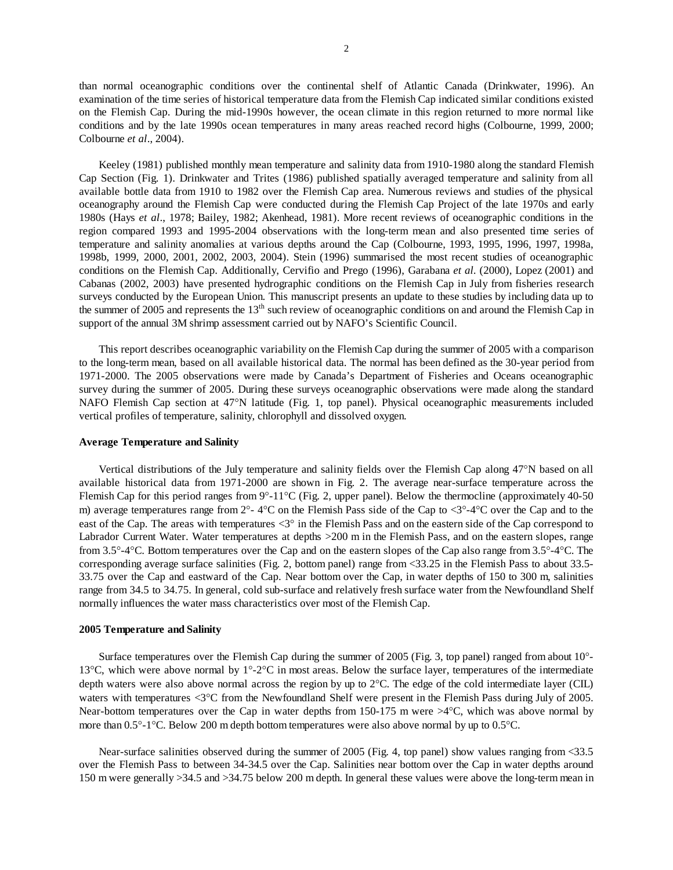than normal oceanographic conditions over the continental shelf of Atlantic Canada (Drinkwater, 1996). An examination of the time series of historical temperature data from the Flemish Cap indicated similar conditions existed on the Flemish Cap. During the mid-1990s however, the ocean climate in this region returned to more normal like conditions and by the late 1990s ocean temperatures in many areas reached record highs (Colbourne, 1999, 2000; Colbourne *et al*., 2004).

 Keeley (1981) published monthly mean temperature and salinity data from 1910-1980 along the standard Flemish Cap Section (Fig. 1). Drinkwater and Trites (1986) published spatially averaged temperature and salinity from all available bottle data from 1910 to 1982 over the Flemish Cap area. Numerous reviews and studies of the physical oceanography around the Flemish Cap were conducted during the Flemish Cap Project of the late 1970s and early 1980s (Hays *et al*., 1978; Bailey, 1982; Akenhead, 1981). More recent reviews of oceanographic conditions in the region compared 1993 and 1995-2004 observations with the long-term mean and also presented time series of temperature and salinity anomalies at various depths around the Cap (Colbourne, 1993, 1995, 1996, 1997, 1998a, 1998b, 1999, 2000, 2001, 2002, 2003, 2004). Stein (1996) summarised the most recent studies of oceanographic conditions on the Flemish Cap. Additionally, Cervifio and Prego (1996), Garabana *et al.* (2000), Lopez (2001) and Cabanas (2002, 2003) have presented hydrographic conditions on the Flemish Cap in July from fisheries research surveys conducted by the European Union. This manuscript presents an update to these studies by including data up to the summer of 2005 and represents the  $13<sup>th</sup>$  such review of oceanographic conditions on and around the Flemish Cap in support of the annual 3M shrimp assessment carried out by NAFO's Scientific Council.

 This report describes oceanographic variability on the Flemish Cap during the summer of 2005 with a comparison to the long-term mean, based on all available historical data. The normal has been defined as the 30-year period from 1971-2000. The 2005 observations were made by Canada's Department of Fisheries and Oceans oceanographic survey during the summer of 2005. During these surveys oceanographic observations were made along the standard NAFO Flemish Cap section at 47°N latitude (Fig. 1, top panel). Physical oceanographic measurements included vertical profiles of temperature, salinity, chlorophyll and dissolved oxygen.

## **Average Temperature and Salinity**

 Vertical distributions of the July temperature and salinity fields over the Flemish Cap along 47°N based on all available historical data from 1971-2000 are shown in Fig. 2. The average near-surface temperature across the Flemish Cap for this period ranges from 9°-11°C (Fig. 2, upper panel). Below the thermocline (approximately 40-50 m) average temperatures range from  $2^{\circ}$ -4°C on the Flemish Pass side of the Cap to  $\langle 3^{\circ}$ -4°C over the Cap and to the east of the Cap. The areas with temperatures <3° in the Flemish Pass and on the eastern side of the Cap correspond to Labrador Current Water. Water temperatures at depths >200 m in the Flemish Pass, and on the eastern slopes, range from 3.5°-4°C. Bottom temperatures over the Cap and on the eastern slopes of the Cap also range from 3.5°-4°C. The corresponding average surface salinities (Fig. 2, bottom panel) range from <33.25 in the Flemish Pass to about 33.5- 33.75 over the Cap and eastward of the Cap. Near bottom over the Cap, in water depths of 150 to 300 m, salinities range from 34.5 to 34.75. In general, cold sub-surface and relatively fresh surface water from the Newfoundland Shelf normally influences the water mass characteristics over most of the Flemish Cap.

## **2005 Temperature and Salinity**

 Surface temperatures over the Flemish Cap during the summer of 2005 (Fig. 3, top panel) ranged from about 10°- 13°C, which were above normal by 1°-2°C in most areas. Below the surface layer, temperatures of the intermediate depth waters were also above normal across the region by up to 2°C. The edge of the cold intermediate layer (CIL) waters with temperatures <3°C from the Newfoundland Shelf were present in the Flemish Pass during July of 2005. Near-bottom temperatures over the Cap in water depths from 150-175 m were  $\geq 4^{\circ}$ C, which was above normal by more than 0.5°-1°C. Below 200 m depth bottom temperatures were also above normal by up to 0.5°C.

Near-surface salinities observed during the summer of 2005 (Fig. 4, top panel) show values ranging from <33.5 over the Flemish Pass to between 34-34.5 over the Cap. Salinities near bottom over the Cap in water depths around 150 m were generally >34.5 and >34.75 below 200 m depth. In general these values were above the long-term mean in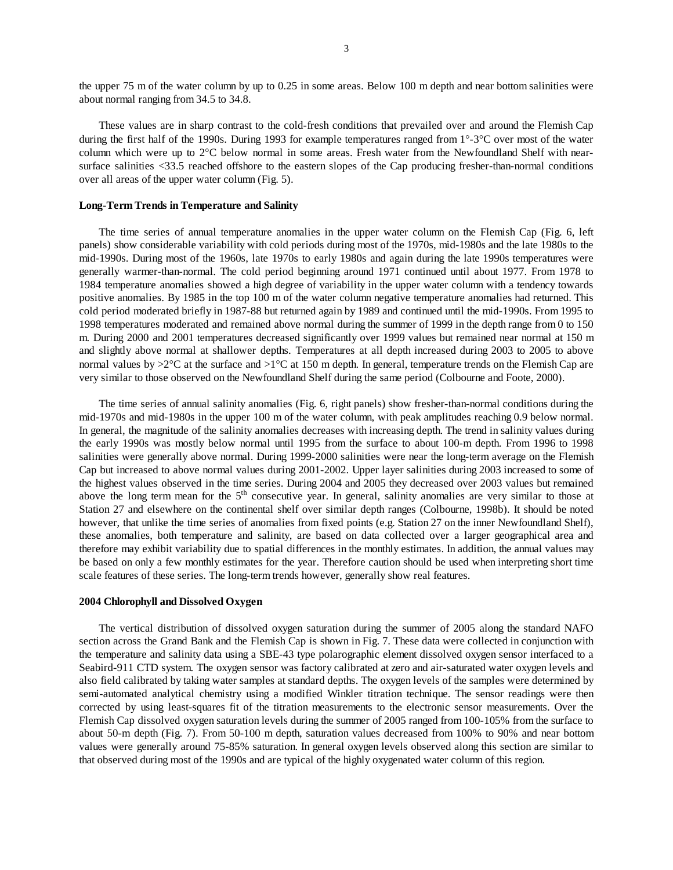the upper 75 m of the water column by up to 0.25 in some areas. Below 100 m depth and near bottom salinities were about normal ranging from 34.5 to 34.8.

 These values are in sharp contrast to the cold-fresh conditions that prevailed over and around the Flemish Cap during the first half of the 1990s. During 1993 for example temperatures ranged from 1°-3°C over most of the water column which were up to 2°C below normal in some areas. Fresh water from the Newfoundland Shelf with nearsurface salinities <33.5 reached offshore to the eastern slopes of the Cap producing fresher-than-normal conditions over all areas of the upper water column (Fig. 5).

## **Long-Term Trends in Temperature and Salinity**

 The time series of annual temperature anomalies in the upper water column on the Flemish Cap (Fig. 6, left panels) show considerable variability with cold periods during most of the 1970s, mid-1980s and the late 1980s to the mid-1990s. During most of the 1960s, late 1970s to early 1980s and again during the late 1990s temperatures were generally warmer-than-normal. The cold period beginning around 1971 continued until about 1977. From 1978 to 1984 temperature anomalies showed a high degree of variability in the upper water column with a tendency towards positive anomalies. By 1985 in the top 100 m of the water column negative temperature anomalies had returned. This cold period moderated briefly in 1987-88 but returned again by 1989 and continued until the mid-1990s. From 1995 to 1998 temperatures moderated and remained above normal during the summer of 1999 in the depth range from 0 to 150 m. During 2000 and 2001 temperatures decreased significantly over 1999 values but remained near normal at 150 m and slightly above normal at shallower depths. Temperatures at all depth increased during 2003 to 2005 to above normal values by  $>2^{\circ}C$  at the surface and  $>1^{\circ}C$  at 150 m depth. In general, temperature trends on the Flemish Cap are very similar to those observed on the Newfoundland Shelf during the same period (Colbourne and Foote, 2000).

The time series of annual salinity anomalies (Fig. 6, right panels) show fresher-than-normal conditions during the mid-1970s and mid-1980s in the upper 100 m of the water column, with peak amplitudes reaching 0.9 below normal. In general, the magnitude of the salinity anomalies decreases with increasing depth. The trend in salinity values during the early 1990s was mostly below normal until 1995 from the surface to about 100-m depth. From 1996 to 1998 salinities were generally above normal. During 1999-2000 salinities were near the long-term average on the Flemish Cap but increased to above normal values during 2001-2002. Upper layer salinities during 2003 increased to some of the highest values observed in the time series. During 2004 and 2005 they decreased over 2003 values but remained above the long term mean for the  $5<sup>th</sup>$  consecutive year. In general, salinity anomalies are very similar to those at Station 27 and elsewhere on the continental shelf over similar depth ranges (Colbourne, 1998b). It should be noted however, that unlike the time series of anomalies from fixed points (e.g. Station 27 on the inner Newfoundland Shelf), these anomalies, both temperature and salinity, are based on data collected over a larger geographical area and therefore may exhibit variability due to spatial differences in the monthly estimates. In addition, the annual values may be based on only a few monthly estimates for the year. Therefore caution should be used when interpreting short time scale features of these series. The long-term trends however, generally show real features.

#### **2004 Chlorophyll and Dissolved Oxygen**

 The vertical distribution of dissolved oxygen saturation during the summer of 2005 along the standard NAFO section across the Grand Bank and the Flemish Cap is shown in Fig. 7. These data were collected in conjunction with the temperature and salinity data using a SBE-43 type polarographic element dissolved oxygen sensor interfaced to a Seabird-911 CTD system. The oxygen sensor was factory calibrated at zero and air-saturated water oxygen levels and also field calibrated by taking water samples at standard depths. The oxygen levels of the samples were determined by semi-automated analytical chemistry using a modified Winkler titration technique. The sensor readings were then corrected by using least-squares fit of the titration measurements to the electronic sensor measurements. Over the Flemish Cap dissolved oxygen saturation levels during the summer of 2005 ranged from 100-105% from the surface to about 50-m depth (Fig. 7). From 50-100 m depth, saturation values decreased from 100% to 90% and near bottom values were generally around 75-85% saturation. In general oxygen levels observed along this section are similar to that observed during most of the 1990s and are typical of the highly oxygenated water column of this region.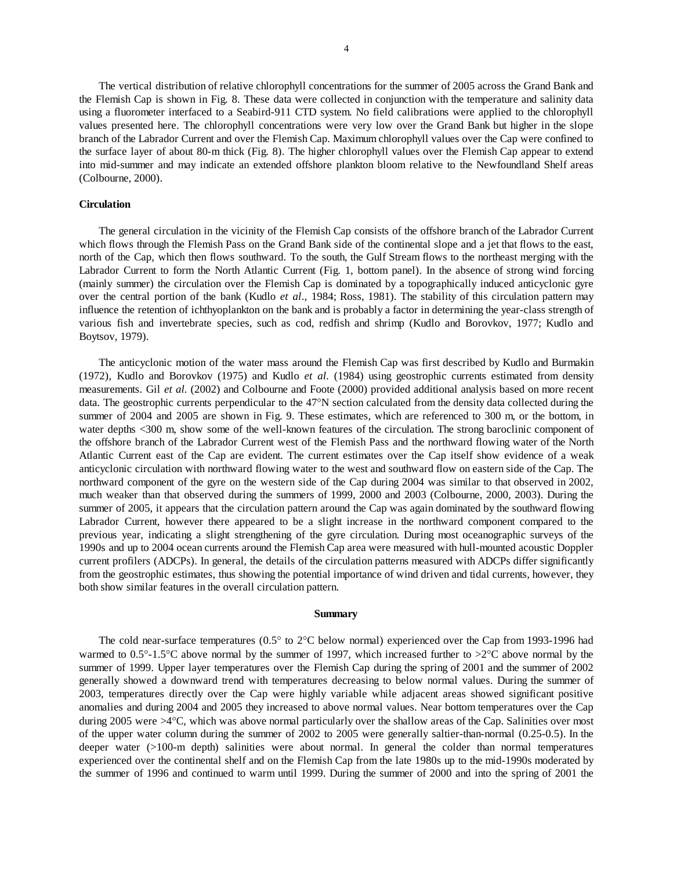The vertical distribution of relative chlorophyll concentrations for the summer of 2005 across the Grand Bank and the Flemish Cap is shown in Fig. 8. These data were collected in conjunction with the temperature and salinity data using a fluorometer interfaced to a Seabird-911 CTD system. No field calibrations were applied to the chlorophyll values presented here. The chlorophyll concentrations were very low over the Grand Bank but higher in the slope branch of the Labrador Current and over the Flemish Cap. Maximum chlorophyll values over the Cap were confined to the surface layer of about 80-m thick (Fig. 8). The higher chlorophyll values over the Flemish Cap appear to extend into mid-summer and may indicate an extended offshore plankton bloom relative to the Newfoundland Shelf areas (Colbourne, 2000).

## **Circulation**

 The general circulation in the vicinity of the Flemish Cap consists of the offshore branch of the Labrador Current which flows through the Flemish Pass on the Grand Bank side of the continental slope and a jet that flows to the east, north of the Cap, which then flows southward. To the south, the Gulf Stream flows to the northeast merging with the Labrador Current to form the North Atlantic Current (Fig. 1, bottom panel). In the absence of strong wind forcing (mainly summer) the circulation over the Flemish Cap is dominated by a topographically induced anticyclonic gyre over the central portion of the bank (Kudlo *et al*., 1984; Ross, 1981). The stability of this circulation pattern may influence the retention of ichthyoplankton on the bank and is probably a factor in determining the year-class strength of various fish and invertebrate species, such as cod, redfish and shrimp (Kudlo and Borovkov, 1977; Kudlo and Boytsov, 1979).

 The anticyclonic motion of the water mass around the Flemish Cap was first described by Kudlo and Burmakin (1972), Kudlo and Borovkov (1975) and Kudlo *et al.* (1984) using geostrophic currents estimated from density measurements. Gil *et al.* (2002) and Colbourne and Foote (2000) provided additional analysis based on more recent data. The geostrophic currents perpendicular to the 47°N section calculated from the density data collected during the summer of 2004 and 2005 are shown in Fig. 9. These estimates, which are referenced to 300 m, or the bottom, in water depths <300 m, show some of the well-known features of the circulation. The strong baroclinic component of the offshore branch of the Labrador Current west of the Flemish Pass and the northward flowing water of the North Atlantic Current east of the Cap are evident. The current estimates over the Cap itself show evidence of a weak anticyclonic circulation with northward flowing water to the west and southward flow on eastern side of the Cap. The northward component of the gyre on the western side of the Cap during 2004 was similar to that observed in 2002, much weaker than that observed during the summers of 1999, 2000 and 2003 (Colbourne, 2000, 2003). During the summer of 2005, it appears that the circulation pattern around the Cap was again dominated by the southward flowing Labrador Current, however there appeared to be a slight increase in the northward component compared to the previous year, indicating a slight strengthening of the gyre circulation. During most oceanographic surveys of the 1990s and up to 2004 ocean currents around the Flemish Cap area were measured with hull-mounted acoustic Doppler current profilers (ADCPs). In general, the details of the circulation patterns measured with ADCPs differ significantly from the geostrophic estimates, thus showing the potential importance of wind driven and tidal currents, however, they both show similar features in the overall circulation pattern.

#### **Summary**

 The cold near-surface temperatures (0.5° to 2°C below normal) experienced over the Cap from 1993-1996 had warmed to  $0.5^{\circ}$ -1.5°C above normal by the summer of 1997, which increased further to  $>2^{\circ}$ C above normal by the summer of 1999. Upper layer temperatures over the Flemish Cap during the spring of 2001 and the summer of 2002 generally showed a downward trend with temperatures decreasing to below normal values. During the summer of 2003, temperatures directly over the Cap were highly variable while adjacent areas showed significant positive anomalies and during 2004 and 2005 they increased to above normal values. Near bottom temperatures over the Cap during 2005 were >4°C, which was above normal particularly over the shallow areas of the Cap. Salinities over most of the upper water column during the summer of 2002 to 2005 were generally saltier-than-normal (0.25-0.5). In the deeper water (>100-m depth) salinities were about normal. In general the colder than normal temperatures experienced over the continental shelf and on the Flemish Cap from the late 1980s up to the mid-1990s moderated by the summer of 1996 and continued to warm until 1999. During the summer of 2000 and into the spring of 2001 the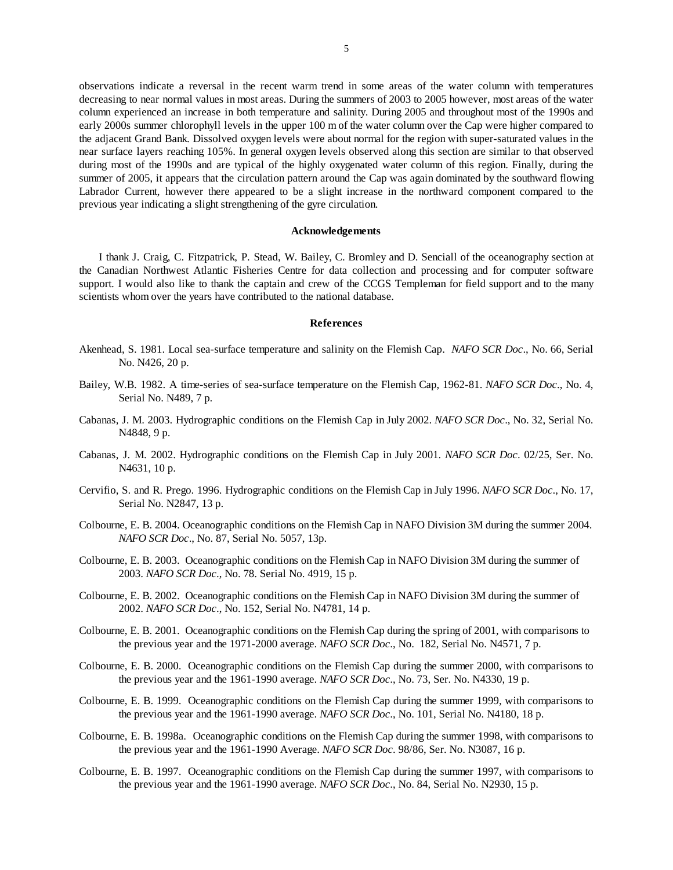observations indicate a reversal in the recent warm trend in some areas of the water column with temperatures decreasing to near normal values in most areas. During the summers of 2003 to 2005 however, most areas of the water column experienced an increase in both temperature and salinity. During 2005 and throughout most of the 1990s and early 2000s summer chlorophyll levels in the upper 100 m of the water column over the Cap were higher compared to the adjacent Grand Bank. Dissolved oxygen levels were about normal for the region with super-saturated values in the near surface layers reaching 105%. In general oxygen levels observed along this section are similar to that observed during most of the 1990s and are typical of the highly oxygenated water column of this region. Finally, during the summer of 2005, it appears that the circulation pattern around the Cap was again dominated by the southward flowing Labrador Current, however there appeared to be a slight increase in the northward component compared to the previous year indicating a slight strengthening of the gyre circulation.

#### **Acknowledgements**

 I thank J. Craig, C. Fitzpatrick, P. Stead, W. Bailey, C. Bromley and D. Senciall of the oceanography section at the Canadian Northwest Atlantic Fisheries Centre for data collection and processing and for computer software support. I would also like to thank the captain and crew of the CCGS Templeman for field support and to the many scientists whom over the years have contributed to the national database.

#### **References**

- Akenhead, S. 1981. Local sea-surface temperature and salinity on the Flemish Cap. *NAFO SCR Doc*., No. 66, Serial No. N426, 20 p.
- Bailey, W.B. 1982. A time-series of sea-surface temperature on the Flemish Cap, 1962-81. *NAFO SCR Doc*., No. 4, Serial No. N489, 7 p.
- Cabanas, J. M. 2003. Hydrographic conditions on the Flemish Cap in July 2002. *NAFO SCR Doc*., No. 32, Serial No. N4848, 9 p.
- Cabanas, J. M. 2002. Hydrographic conditions on the Flemish Cap in July 2001. *NAFO SCR Doc*. 02/25, Ser. No. N4631, 10 p.
- Cervifio, S. and R. Prego. 1996. Hydrographic conditions on the Flemish Cap in July 1996. *NAFO SCR Doc*., No. 17, Serial No. N2847, 13 p.
- Colbourne, E. B. 2004. Oceanographic conditions on the Flemish Cap in NAFO Division 3M during the summer 2004. *NAFO SCR Doc*., No. 87, Serial No. 5057, 13p.
- Colbourne, E. B. 2003. Oceanographic conditions on the Flemish Cap in NAFO Division 3M during the summer of 2003. *NAFO SCR Doc*., No. 78. Serial No. 4919, 15 p.
- Colbourne, E. B. 2002. Oceanographic conditions on the Flemish Cap in NAFO Division 3M during the summer of 2002. *NAFO SCR Doc*., No. 152, Serial No. N4781, 14 p.
- Colbourne, E. B. 2001. Oceanographic conditions on the Flemish Cap during the spring of 2001, with comparisons to the previous year and the 1971-2000 average. *NAFO SCR Doc*., No. 182, Serial No. N4571, 7 p.
- Colbourne, E. B. 2000. Oceanographic conditions on the Flemish Cap during the summer 2000, with comparisons to the previous year and the 1961-1990 average. *NAFO SCR Doc*., No. 73, Ser. No. N4330, 19 p.
- Colbourne, E. B. 1999. Oceanographic conditions on the Flemish Cap during the summer 1999, with comparisons to the previous year and the 1961-1990 average. *NAFO SCR Doc*., No. 101, Serial No. N4180, 18 p.
- Colbourne, E. B. 1998a. Oceanographic conditions on the Flemish Cap during the summer 1998, with comparisons to the previous year and the 1961-1990 Average. *NAFO SCR Doc*. 98/86, Ser. No. N3087, 16 p.
- Colbourne, E. B. 1997. Oceanographic conditions on the Flemish Cap during the summer 1997, with comparisons to the previous year and the 1961-1990 average. *NAFO SCR Doc*., No. 84, Serial No. N2930, 15 p.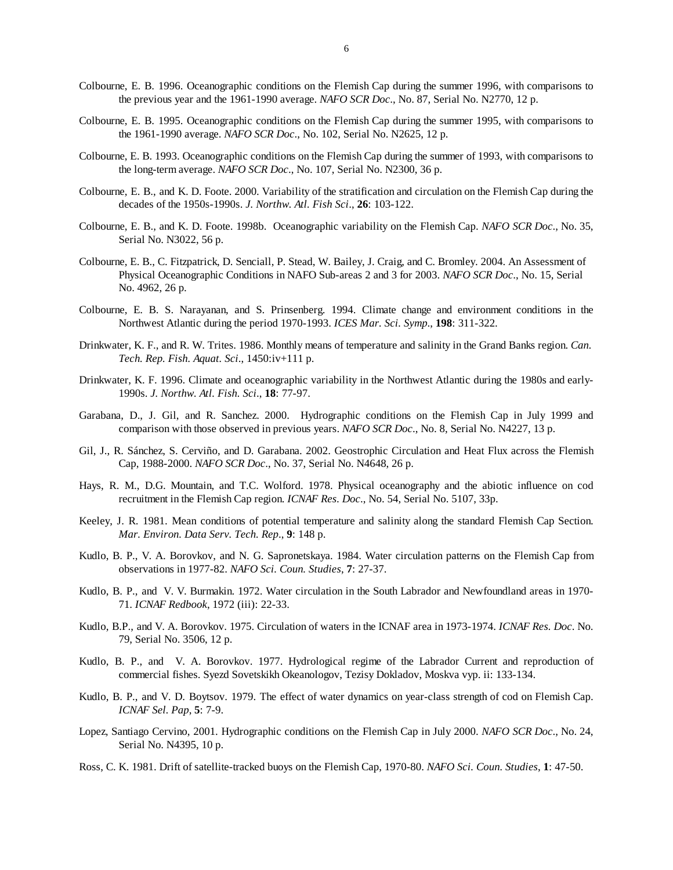- Colbourne, E. B. 1996. Oceanographic conditions on the Flemish Cap during the summer 1996, with comparisons to the previous year and the 1961-1990 average. *NAFO SCR Doc*., No. 87, Serial No. N2770, 12 p.
- Colbourne, E. B. 1995. Oceanographic conditions on the Flemish Cap during the summer 1995, with comparisons to the 1961-1990 average. *NAFO SCR Doc*., No. 102, Serial No. N2625, 12 p.
- Colbourne, E. B. 1993. Oceanographic conditions on the Flemish Cap during the summer of 1993, with comparisons to the long-term average. *NAFO SCR Doc*., No. 107, Serial No. N2300, 36 p.
- Colbourne, E. B., and K. D. Foote. 2000. Variability of the stratification and circulation on the Flemish Cap during the decades of the 1950s-1990s. *J. Northw. Atl. Fish Sci*., **26**: 103-122.
- Colbourne, E. B., and K. D. Foote. 1998b. Oceanographic variability on the Flemish Cap. *NAFO SCR Doc*., No. 35, Serial No. N3022, 56 p.
- Colbourne, E. B., C. Fitzpatrick, D. Senciall, P. Stead, W. Bailey, J. Craig, and C. Bromley. 2004. An Assessment of Physical Oceanographic Conditions in NAFO Sub-areas 2 and 3 for 2003. *NAFO SCR Doc*., No. 15, Serial No. 4962, 26 p.
- Colbourne, E. B. S. Narayanan, and S. Prinsenberg. 1994. Climate change and environment conditions in the Northwest Atlantic during the period 1970-1993. *ICES Mar. Sci. Symp*., **198**: 311-322.
- Drinkwater, K. F., and R. W. Trites. 1986. Monthly means of temperature and salinity in the Grand Banks region. *Can. Tech. Rep. Fish. Aquat. Sci*., 1450:iv+111 p.
- Drinkwater, K. F. 1996. Climate and oceanographic variability in the Northwest Atlantic during the 1980s and early-1990s. *J. Northw. Atl. Fish. Sci*., **18**: 77-97.
- Garabana, D., J. Gil, and R. Sanchez. 2000. Hydrographic conditions on the Flemish Cap in July 1999 and comparison with those observed in previous years. *NAFO SCR Doc*., No. 8, Serial No. N4227, 13 p.
- Gil, J., R. Sánchez, S. Cerviño, and D. Garabana. 2002. Geostrophic Circulation and Heat Flux across the Flemish Cap, 1988-2000. *NAFO SCR Doc*., No. 37, Serial No. N4648, 26 p.
- Hays, R. M., D.G. Mountain, and T.C. Wolford. 1978. Physical oceanography and the abiotic influence on cod recruitment in the Flemish Cap region. *ICNAF Res. Doc*., No. 54, Serial No. 5107, 33p.
- Keeley, J. R. 1981. Mean conditions of potential temperature and salinity along the standard Flemish Cap Section. *Mar. Environ. Data Serv. Tech. Rep*., **9**: 148 p.
- Kudlo, B. P., V. A. Borovkov, and N. G. Sapronetskaya. 1984. Water circulation patterns on the Flemish Cap from observations in 1977-82. *NAFO Sci. Coun. Studies*, **7**: 27-37.
- Kudlo, B. P., and V. V. Burmakin. 1972. Water circulation in the South Labrador and Newfoundland areas in 1970- 71. *ICNAF Redbook*, 1972 (iii): 22-33.
- Kudlo, B.P., and V. A. Borovkov. 1975. Circulation of waters in the ICNAF area in 1973-1974. *ICNAF Res. Doc*. No. 79, Serial No. 3506, 12 p.
- Kudlo, B. P., and V. A. Borovkov. 1977. Hydrological regime of the Labrador Current and reproduction of commercial fishes. Syezd Sovetskikh Okeanologov, Tezisy Dokladov, Moskva vyp. ii: 133-134.
- Kudlo, B. P., and V. D. Boytsov. 1979. The effect of water dynamics on year-class strength of cod on Flemish Cap. *ICNAF Sel. Pap*, **5**: 7-9.
- Lopez, Santiago Cervino, 2001. Hydrographic conditions on the Flemish Cap in July 2000. *NAFO SCR Doc*., No. 24, Serial No. N4395, 10 p.
- Ross, C. K. 1981. Drift of satellite-tracked buoys on the Flemish Cap, 1970-80. *NAFO Sci. Coun. Studies*, **1**: 47-50.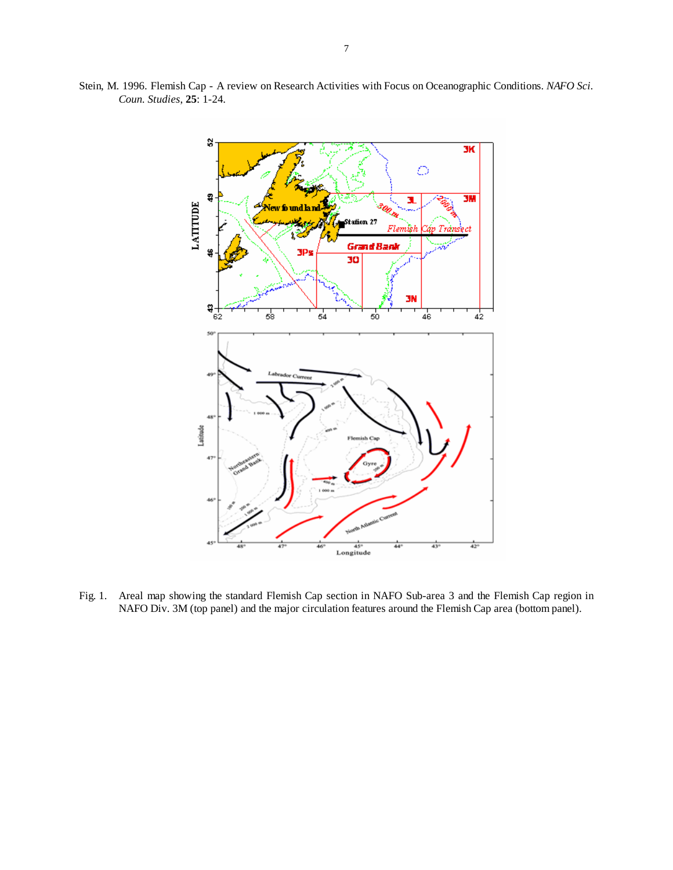

Stein, M. 1996. Flemish Cap - A review on Research Activities with Focus on Oceanographic Conditions. *NAFO Sci. Coun. Studies*, **25**: 1-24.

Fig. 1. Areal map showing the standard Flemish Cap section in NAFO Sub-area 3 and the Flemish Cap region in NAFO Div. 3M (top panel) and the major circulation features around the Flemish Cap area (bottom panel).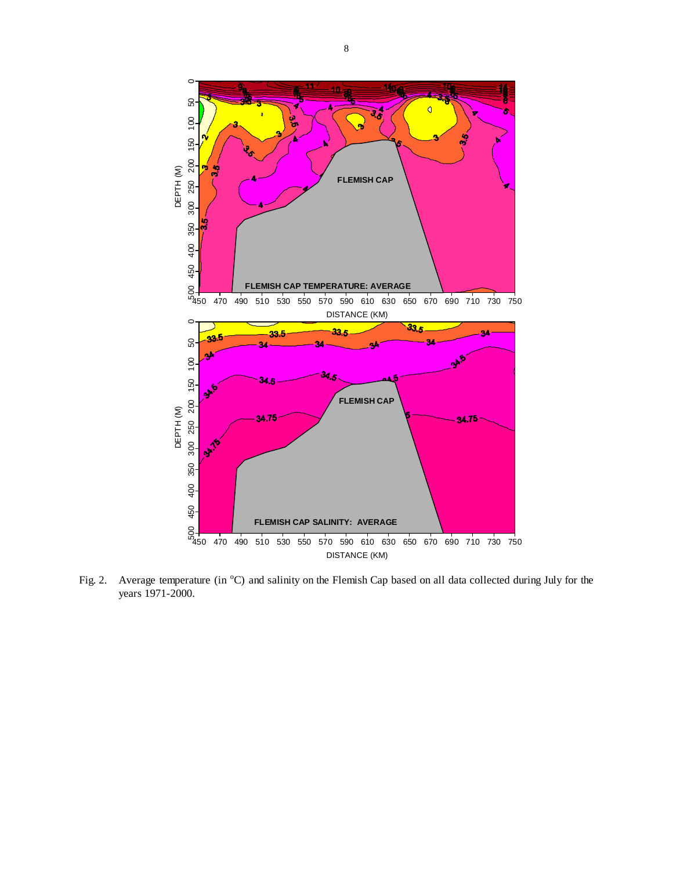

Fig. 2. Average temperature (in <sup>o</sup>C) and salinity on the Flemish Cap based on all data collected during July for the years 1971-2000.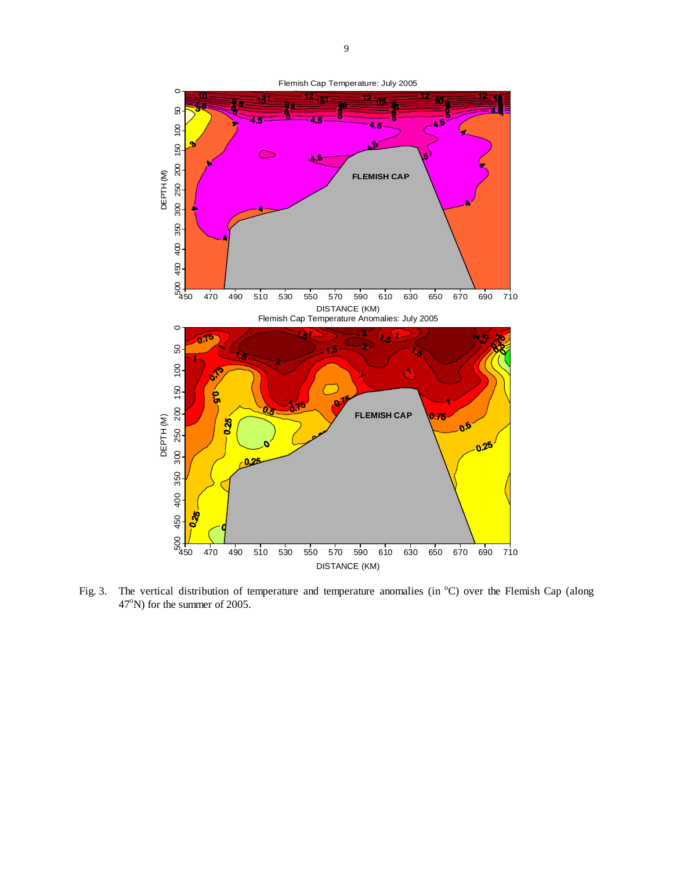

Fig. 3. The vertical distribution of temperature and temperature anomalies (in <sup>o</sup>C) over the Flemish Cap (along  $47^{\circ}$ N) for the summer of 2005.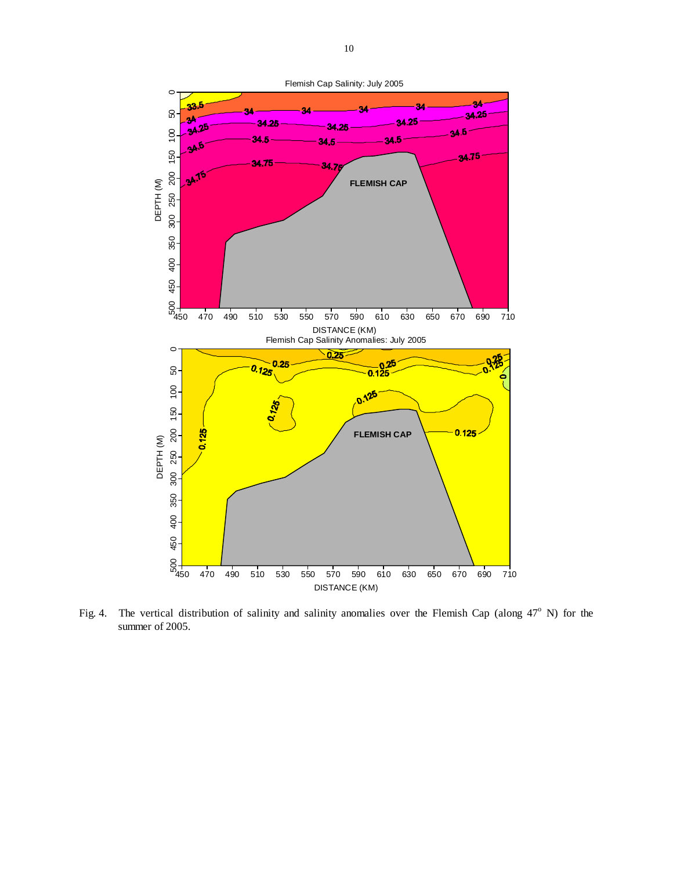

Fig. 4. The vertical distribution of salinity and salinity anomalies over the Flemish Cap (along  $47^{\circ}$  N) for the summer of 2005.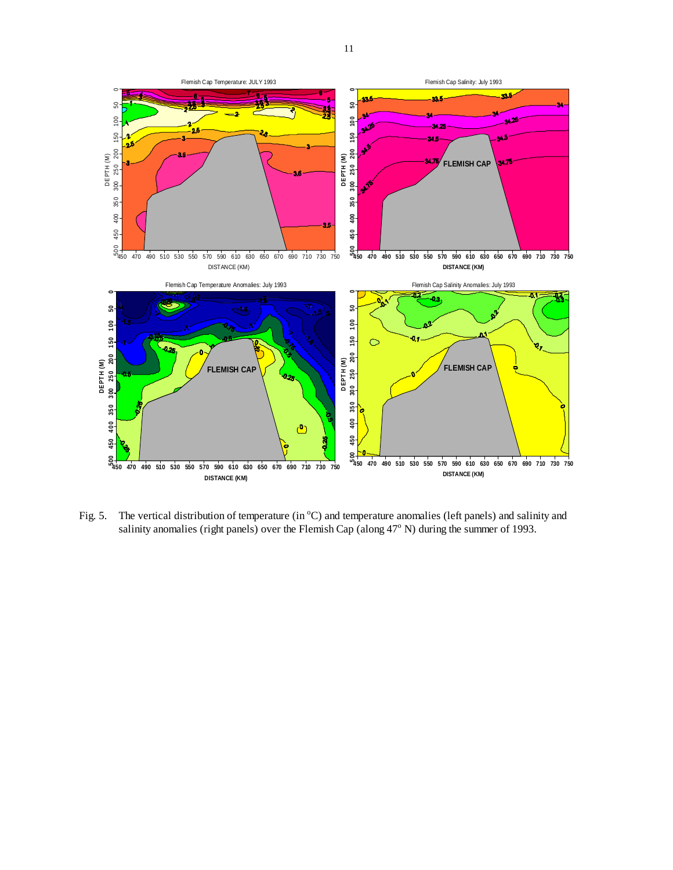

Fig. 5. The vertical distribution of temperature (in  $^{\circ}$ C) and temperature anomalies (left panels) and salinity and salinity anomalies (right panels) over the Flemish Cap (along  $47^{\circ}$  N) during the summer of 1993.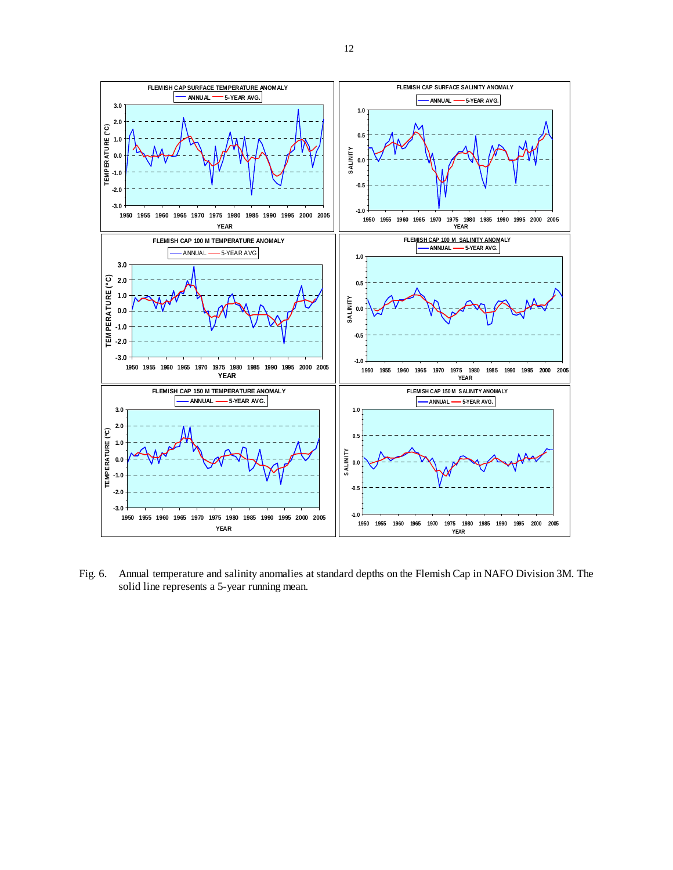

Fig. 6. Annual temperature and salinity anomalies at standard depths on the Flemish Cap in NAFO Division 3M. The solid line represents a 5-year running mean.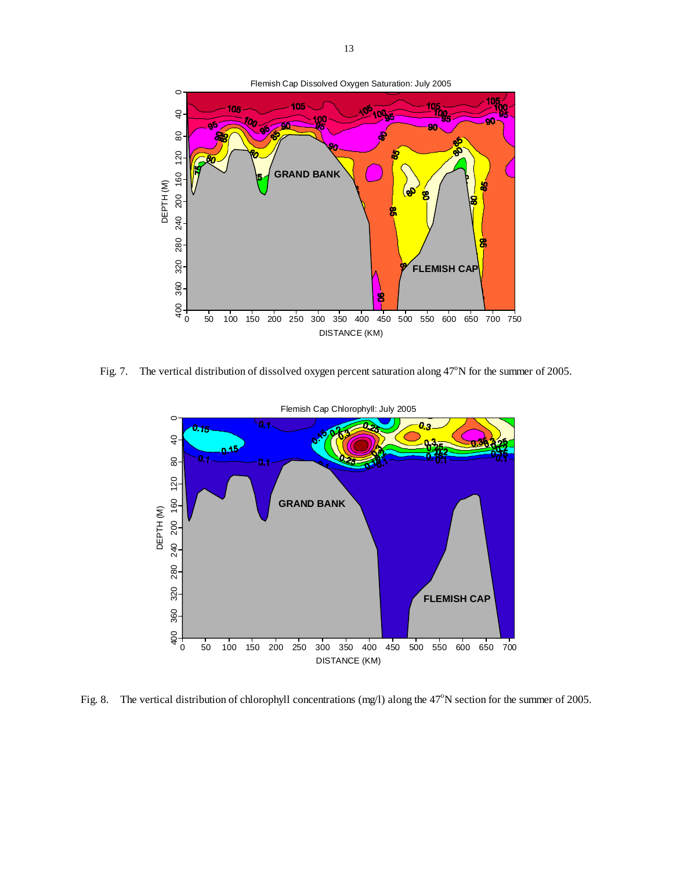

Fig. 7. The vertical distribution of dissolved oxygen percent saturation along  $47^{\circ}$ N for the summer of 2005.



Fig. 8. The vertical distribution of chlorophyll concentrations (mg/l) along the  $47^{\circ}$ N section for the summer of 2005.